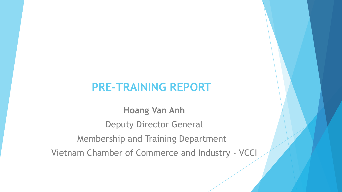#### **PRE-TRAINING REPORT**

**Hoang Van Anh** Deputy Director General Membership and Training Department Vietnam Chamber of Commerce and Industry - VCCI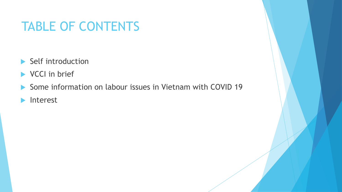## TABLE OF CONTENTS

- Self introduction
- VCCI in brief
- ▶ Some information on labour issues in Vietnam with COVID 19
- **Interest**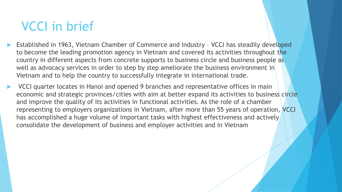## VCCI in brief

- Established in 1963, Vietnam Chamber of Commerce and Industry VCCI has steadily developed to become the leading promotion agency in Vietnam and covered its activities throughout the country in different aspects from concrete supports to business circle and business people as well as advocacy services in order to step by step ameliorate the business environment in Vietnam and to help the country to successfully integrate in international trade.
- VCCI quarter locates in Hanoi and opened 9 branches and representative offices in main economic and strategic provinces/cities with aim at better expand its activities to business circle and improve the quality of its activities in functional activities. As the role of a chamber representing to employers organizations in Vietnam, after more than 55 years of operation, VCCI has accomplished a huge volume of important tasks with highest effectiveness and actively consolidate the development of business and employer activities and in Vietnam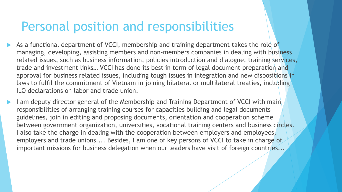#### Personal position and responsibilities

- As a functional department of VCCI, membership and training department takes the role of managing, developing, assisting members and non-members companies in dealing with business related issues, such as business information, policies introduction and dialogue, training services, trade and investment links… VCCI has done its best in term of legal document preparation and approval for business related issues, including tough issues in integration and new dispositions in laws to fulfil the commitment of Vietnam in joining bilateral or multilateral treaties, including ILO declarations on labor and trade union.
- I am deputy director general of the Membership and Training Department of VCCI with main responsibilities of arranging training courses for capacities building and legal documents guidelines, join in editing and proposing documents, orientation and cooperation scheme between government organization, universities, vocational training centers and business circles. I also take the charge in dealing with the cooperation between employers and employees, employers and trade unions.... Besides, I am one of key persons of VCCI to take in charge of important missions for business delegation when our leaders have visit of foreign countries...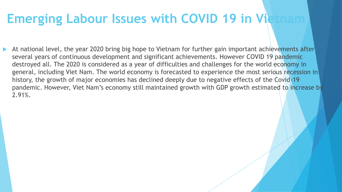## **Emerging Labour Issues with COVID 19 in Vietname 19 in 19 in 19 in 19 in 19 in 19 in 19 in 19 in 19 in 19 in 19 in 19 in 19 in 19 in 19 in 19 in 19 in 19 in 19 in 19 in 19 in 19 in 19 in 19 in 19 in 19 in 19 in 19 in 19 i**

 At national level, the year 2020 bring big hope to Vietnam for further gain important achievements after several years of continuous development and significant achievements. However COVID 19 pandemic destroyed all. The 2020 is considered as a year of difficulties and challenges for the world economy in general, including Viet Nam. The world economy is forecasted to experience the most serious recession in history, the growth of major economies has declined deeply due to negative effects of the Covid-19 pandemic. However, Viet Nam's economy still maintained growth with GDP growth estimated to increase by 2.91%.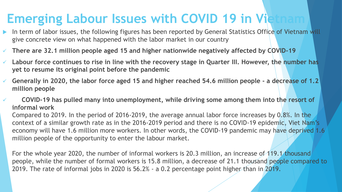## **Emerging Labour Issues with COVID 19 in Vietname 19 in 19 in 19 in 19 in 19 in 19 in 19 in 19 in 19 in 19 in 19 in 19 in 19 in 19 in 19 in 19 in 19 in 19 in 19 in 19 in 19 in 19 in 19 in 19 in 19 in 19 in 19 in 19 in 19 i**

- In term of labor issues, the following figures has been reported by General Statistics Office of Vietnam will give concrete view on what happened with the labor market in our country
- **There are 32.1 million people aged 15 and higher nationwide negatively affected by COVID-19**
- **Labour force continues to rise in line with the recovery stage in Quarter III. However, the number has yet to resume its original point before the pandemic**
- **Generally in 2020, the labor force aged 15 and higher reached 54.6 million people - a decrease of 1.2 million people**
- **COVID-19 has pulled many into unemployment, while driving some among them into the resort of informal work**

Compared to 2019. In the period of 2016-2019, the average annual labor force increases by 0.8%. In the context of a similar growth rate as in the 2016-2019 period and there is no COVID-19 epidemic, Viet Nam's economy will have 1.6 million more workers. In other words, the COVID-19 pandemic may have deprived 1.6 million people of the opportunity to enter the labour market.

For the whole year 2020, the number of informal workers is 20.3 million, an increase of 119.1 thousand people, while the number of formal workers is 15.8 million, a decrease of 21.1 thousand people compared to 2019. The rate of informal jobs in 2020 is 56.2% - a 0.2 percentage point higher than in 2019.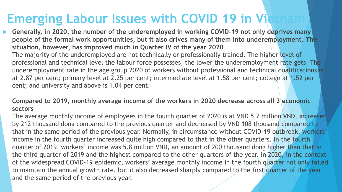## **Emerging Labour Issues with COVID 19 in Vietname 19 in 19 in 19 in 19 in 19 in 19 in 19 in 19 in 19 in 19 in 19 in 19 in 19 in 19 in 19 in 19 in 19 in 19 in 19 in 19 in 19 in 19 in 19 in 19 in 19 in 19 in 19 in 19 in 19 i**

 **Generally, in 2020, the number of the underemployed in working COVID-19 not only deprives many people of the formal work opportunities, but it also drives many of them into underemployment. The situation, however, has improved much in Quarter IV of the year 2020** The majority of the underemployed are not technically or professionally trained. The higher level of professional and technical level the labour force possesses, the lower the underemployment rate gets. The underemployment rate in the age group 2020 of workers without professional and technical qualifications is at 2.87 per cent; primary level at 2.25 per cent; intermediate level at 1.58 per cent; college at 1.52 per cent; and university and above is 1.04 per cent.

#### **Compared to 2019, monthly average income of the workers in 2020 decrease across all 3 economic sectors**

The average monthly income of employees in the fourth quarter of 2020 is at VND 5.7 million VND, increased by 212 thousand dong compared to the previous quarter and decreased by VND 108 thousand compared to that in the same period of the previous year. Normally, in circumstance without COVID-19 outbreak, workers' income in the fourth quarter increased quite high compared to that in the other quarters. In the fourth quarter of 2019, workers' income was 5.8 million VND, an amount of 200 thousand dong higher than that in the third quarter of 2019 and the highest compared to the other quarters of the year. In 2020, in the context of the widespread COVID-19 epidemic, workers' average monthly income in the fourth quarter not only failed to maintain the annual growth rate, but it also decreased sharply compared to the first quarter of the year and the same period of the previous year.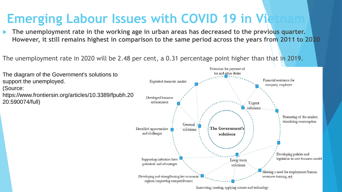# **Emerging Labour Issues with COVID 19 in Video**

 **The unemployment rate in the working age in urban areas has decreased to the previous quarter. However, it still remains highest in comparison to the same period across the years from 2011 to 2020**

The unemployment rate in 2020 will be 2.48 per cent, a 0.31 percentage point higher than that in 2019.